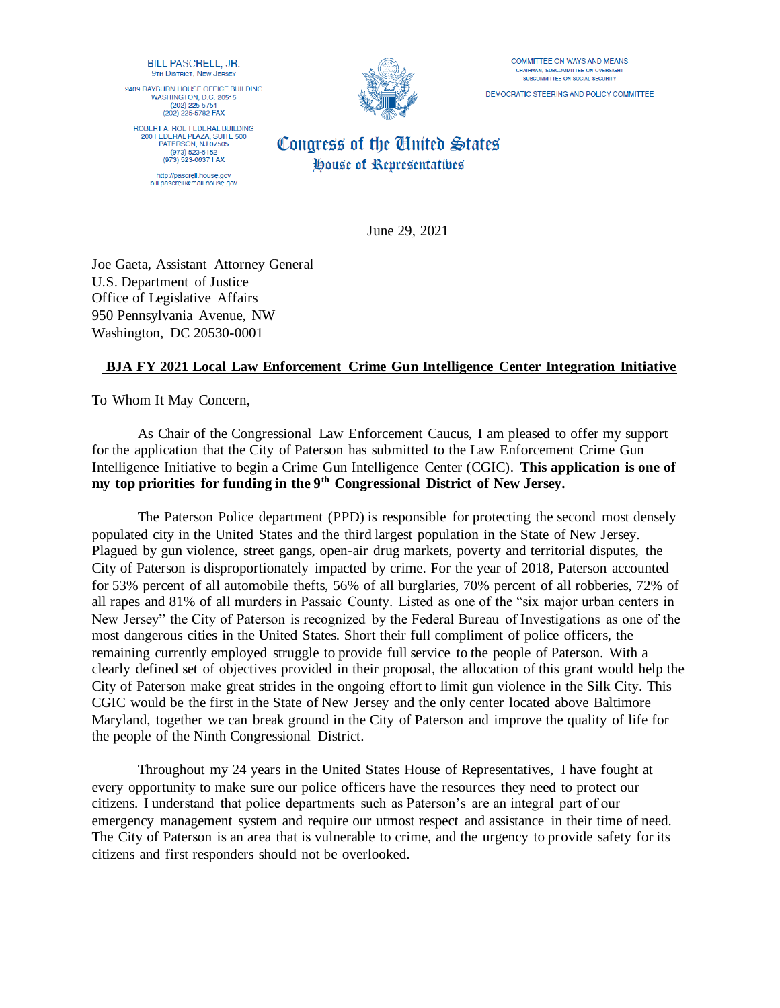BILL PASCRELL, JR. **9TH DISTRICT, NEW JERSEY** 

2409 RAYBURN HOUSE OFFICE BUILDING WASHINGTON, D.C. 20515<br>(202) 225-5751 (202) 225-5782 FAX

ROBERT A. ROE FEDERAL BUILDING 200 FEDERAL PLAZA, SUITE 500 PATERSON, NJ 07505<br>(973) 523-5152 (973) 523-0637 FAX http://pascrell.house.gov bill.pascrell@mail.house.gov



**COMMITTEE ON WAYS AND MEANS** CHAIRMAN, SUBCOMMITTEE ON OVERS SUBCOMMITTEE ON SOCIAL SECURITY

DEMOCRATIC STEERING AND POLICY COMMITTEE

## Congress of the Cinited States House of Representatives

June 29, 2021

Joe Gaeta, Assistant Attorney General U.S. Department of Justice Office of Legislative Affairs 950 Pennsylvania Avenue, NW Washington, DC 20530-0001

## **BJA FY 2021 Local Law Enforcement Crime Gun Intelligence Center Integration Initiative**

To Whom It May Concern,

As Chair of the Congressional Law Enforcement Caucus, I am pleased to offer my support for the application that the City of Paterson has submitted to the Law Enforcement Crime Gun Intelligence Initiative to begin a Crime Gun Intelligence Center (CGIC). **This application is one of my top priorities for funding in the 9th Congressional District of New Jersey.**

The Paterson Police department (PPD) is responsible for protecting the second most densely populated city in the United States and the third largest population in the State of New Jersey. Plagued by gun violence, street gangs, open-air drug markets, poverty and territorial disputes, the City of Paterson is disproportionately impacted by crime. For the year of 2018, Paterson accounted for 53% percent of all automobile thefts, 56% of all burglaries, 70% percent of all robberies, 72% of all rapes and 81% of all murders in Passaic County. Listed as one of the "six major urban centers in New Jersey" the City of Paterson is recognized by the Federal Bureau of Investigations as one of the most dangerous cities in the United States. Short their full compliment of police officers, the remaining currently employed struggle to provide full service to the people of Paterson. With a clearly defined set of objectives provided in their proposal, the allocation of this grant would help the City of Paterson make great strides in the ongoing effort to limit gun violence in the Silk City. This CGIC would be the first in the State of New Jersey and the only center located above Baltimore Maryland, together we can break ground in the City of Paterson and improve the quality of life for the people of the Ninth Congressional District.

Throughout my 24 years in the United States House of Representatives, I have fought at every opportunity to make sure our police officers have the resources they need to protect our citizens. I understand that police departments such as Paterson's are an integral part of our emergency management system and require our utmost respect and assistance in their time of need. The City of Paterson is an area that is vulnerable to crime, and the urgency to provide safety for its citizens and first responders should not be overlooked.